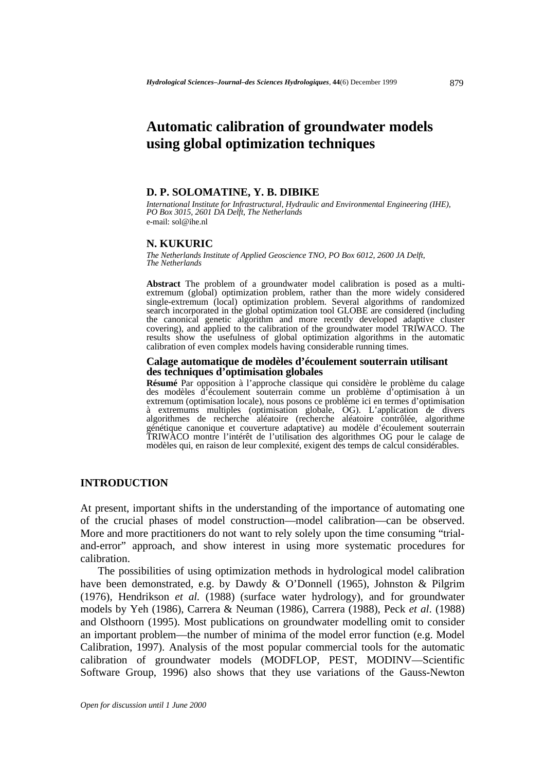# **Automatic calibration of groundwater models using global optimization techniques**

### **D. P. SOLOMATINE, Y. B. DIBIKE**

*International Institute for Infrastructural, Hydraulic and Environmental Engineering (IHE), PO Box 3015, 2601 DA Delft, The Netherlands* e-mail: sol@ihe.nl

#### **N. KUKURIC**

*The Netherlands Institute of Applied Geoscience TNO, PO Box 6012, 2600 JA Delft, The Netherlands*

**Abstract** The problem of a groundwater model calibration is posed as a multiextremum (global) optimization problem, rather than the more widely considered single-extremum (local) optimization problem. Several algorithms of randomized search incorporated in the global optimization tool GLOBE are considered (including the canonical genetic algorithm and more recently developed adaptive cluster covering), and applied to the calibration of the groundwater model TRIWACO. The results show the usefulness of global optimization algorithms in the automatic calibration of even complex models having considerable running times.

### **Calage automatique de modèles d'écoulement souterrain utilisant des techniques d'optimisation globales**

**Résumé** Par opposition à l'approche classique qui considère le problème du calage des modèles d'écoulement souterrain comme un problème d'optimisation à un extremum (optimisation locale), nous posons ce problème ici en termes d'optimisation à extremums multiples (optimisation globale, OG). L'application de divers algorithmes de recherche aléatoire (recherche aléatoire contrôlée, algorithme génétique canonique et couverture adaptative) au modèle d'écoulement souterrain TRIWACO montre l'intérêt de l'utilisation des algorithmes OG pour le calage de modèles qui, en raison de leur complexité, exigent des temps de calcul considérables.

### **INTRODUCTION**

At present, important shifts in the understanding of the importance of automating one of the crucial phases of model construction—model calibration—can be observed. More and more practitioners do not want to rely solely upon the time consuming "trialand-error" approach, and show interest in using more systematic procedures for calibration.

The possibilities of using optimization methods in hydrological model calibration have been demonstrated, e.g. by Dawdy & O'Donnell (1965), Johnston & Pilgrim (1976), Hendrikson *et al.* (1988) (surface water hydrology), and for groundwater models by Yeh (1986), Carrera & Neuman (1986), Carrera (1988), Peck *et al*. (1988) and Olsthoorn (1995). Most publications on groundwater modelling omit to consider an important problem—the number of minima of the model error function (e.g. Model Calibration, 1997). Analysis of the most popular commercial tools for the automatic calibration of groundwater models (MODFLOP, PEST, MODINV—Scientific Software Group, 1996) also shows that they use variations of the Gauss-Newton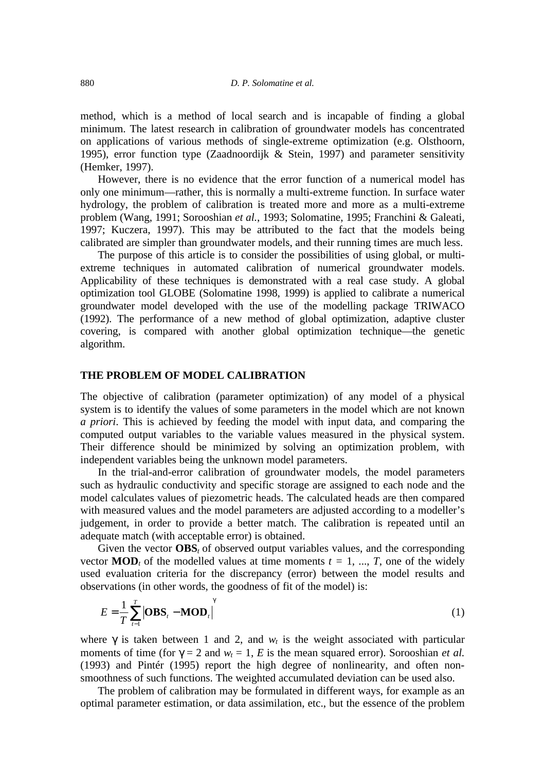method, which is a method of local search and is incapable of finding a global minimum. The latest research in calibration of groundwater models has concentrated on applications of various methods of single-extreme optimization (e.g. Olsthoorn, 1995), error function type (Zaadnoordijk & Stein, 1997) and parameter sensitivity (Hemker, 1997).

However, there is no evidence that the error function of a numerical model has only one minimum—rather, this is normally a multi-extreme function. In surface water hydrology, the problem of calibration is treated more and more as a multi-extreme problem (Wang, 1991; Sorooshian *et al.*, 1993; Solomatine, 1995; Franchini & Galeati, 1997; Kuczera, 1997). This may be attributed to the fact that the models being calibrated are simpler than groundwater models, and their running times are much less.

The purpose of this article is to consider the possibilities of using global, or multiextreme techniques in automated calibration of numerical groundwater models. Applicability of these techniques is demonstrated with a real case study. A global optimization tool GLOBE (Solomatine 1998, 1999) is applied to calibrate a numerical groundwater model developed with the use of the modelling package TRIWACO (1992). The performance of a new method of global optimization, adaptive cluster covering, is compared with another global optimization technique—the genetic algorithm.

### **THE PROBLEM OF MODEL CALIBRATION**

The objective of calibration (parameter optimization) of any model of a physical system is to identify the values of some parameters in the model which are not known *a priori*. This is achieved by feeding the model with input data, and comparing the computed output variables to the variable values measured in the physical system. Their difference should be minimized by solving an optimization problem, with independent variables being the unknown model parameters.

In the trial-and-error calibration of groundwater models, the model parameters such as hydraulic conductivity and specific storage are assigned to each node and the model calculates values of piezometric heads. The calculated heads are then compared with measured values and the model parameters are adjusted according to a modeller's judgement, in order to provide a better match. The calibration is repeated until an adequate match (with acceptable error) is obtained.

Given the vector **OBS**<sup>*t*</sup> of observed output variables values, and the corresponding vector  $\text{MOD}_t$  of the modelled values at time moments  $t = 1, ..., T$ , one of the widely used evaluation criteria for the discrepancy (error) between the model results and observations (in other words, the goodness of fit of the model) is:

$$
E = \frac{1}{T} \sum_{t=1}^{T} |\mathbf{OBS}_t - \mathbf{MOD}_t|^{\mathcal{G}}
$$
 (1)

where  $\gamma$  is taken between 1 and 2, and  $w_t$  is the weight associated with particular moments of time (for  $\gamma = 2$  and  $w_t = 1$ , *E* is the mean squared error). Sorooshian *et al.* (1993) and Pintér (1995) report the high degree of nonlinearity, and often nonsmoothness of such functions. The weighted accumulated deviation can be used also.

The problem of calibration may be formulated in different ways, for example as an optimal parameter estimation, or data assimilation, etc., but the essence of the problem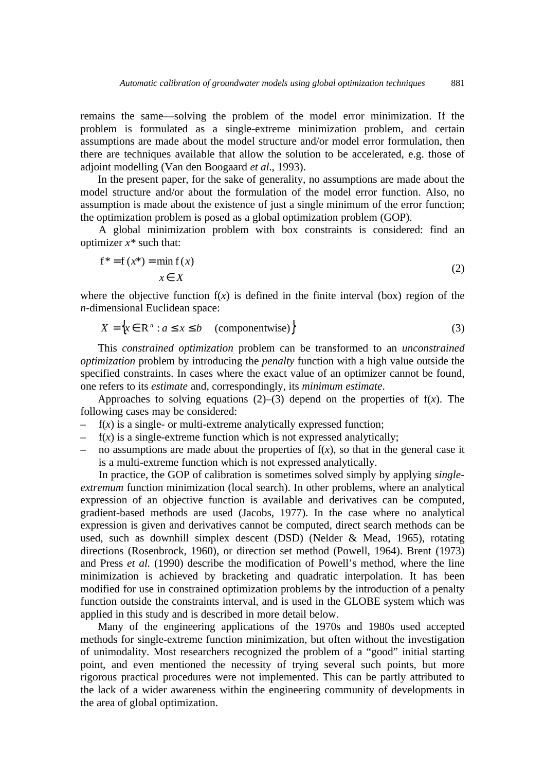remains the same—solving the problem of the model error minimization. If the problem is formulated as a single-extreme minimization problem, and certain assumptions are made about the model structure and/or model error formulation, then there are techniques available that allow the solution to be accelerated, e.g. those of adjoint modelling (Van den Boogaard *et al*., 1993).

In the present paper, for the sake of generality, no assumptions are made about the model structure and/or about the formulation of the model error function. Also, no assumption is made about the existence of just a single minimum of the error function; the optimization problem is posed as a global optimization problem (GOP).

A global minimization problem with box constraints is considered: find an optimizer *x\** such that:

$$
f^* = f(x^*) = \min f(x)
$$
  

$$
x \in X
$$
 (2)

where the objective function  $f(x)$  is defined in the finite interval (box) region of the *n*-dimensional Euclidean space:

$$
X = \{x \in \mathbb{R}^n : a \le x \le b \quad \text{(componentwise)}\}\tag{3}
$$

This *constrained optimization* problem can be transformed to an *unconstrained optimization* problem by introducing the *penalty* function with a high value outside the specified constraints. In cases where the exact value of an optimizer cannot be found, one refers to its *estimate* and, correspondingly, its *minimum estimate*.

Approaches to solving equations  $(2)$ – $(3)$  depend on the properties of  $f(x)$ . The following cases may be considered:

- $f(x)$  is a single- or multi-extreme analytically expressed function;
- $f(x)$  is a single-extreme function which is not expressed analytically;
- no assumptions are made about the properties of  $f(x)$ , so that in the general case it is a multi-extreme function which is not expressed analytically.

In practice, the GOP of calibration is sometimes solved simply by applying *singleextremum* function minimization (local search). In other problems, where an analytical expression of an objective function is available and derivatives can be computed, gradient-based methods are used (Jacobs, 1977). In the case where no analytical expression is given and derivatives cannot be computed, direct search methods can be used, such as downhill simplex descent (DSD) (Nelder & Mead, 1965), rotating directions (Rosenbrock, 1960), or direction set method (Powell, 1964). Brent (1973) and Press *et al.* (1990) describe the modification of Powell's method, where the line minimization is achieved by bracketing and quadratic interpolation. It has been modified for use in constrained optimization problems by the introduction of a penalty function outside the constraints interval, and is used in the GLOBE system which was applied in this study and is described in more detail below.

Many of the engineering applications of the 1970s and 1980s used accepted methods for single-extreme function minimization, but often without the investigation of unimodality. Most researchers recognized the problem of a "good" initial starting point, and even mentioned the necessity of trying several such points, but more rigorous practical procedures were not implemented. This can be partly attributed to the lack of a wider awareness within the engineering community of developments in the area of global optimization.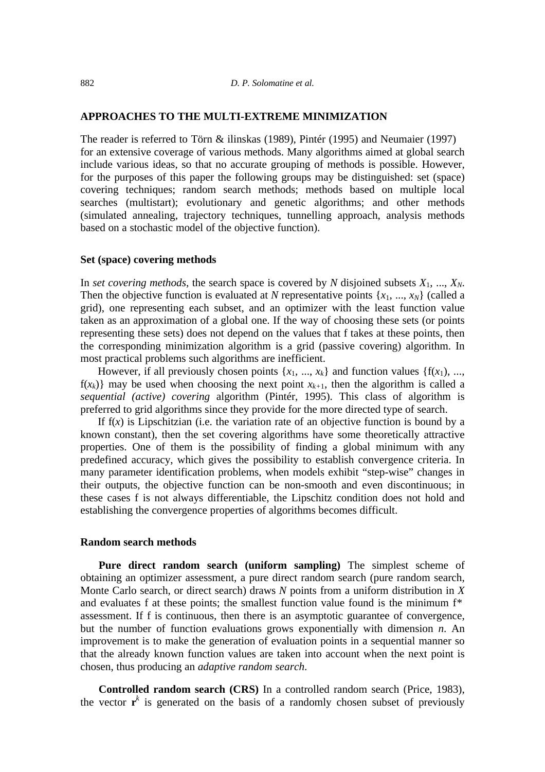# **APPROACHES TO THE MULTI-EXTREME MINIMIZATION**

The reader is referred to Törn & ilinskas (1989), Pintér (1995) and Neumaier (1997) for an extensive coverage of various methods. Many algorithms aimed at global search include various ideas, so that no accurate grouping of methods is possible. However, for the purposes of this paper the following groups may be distinguished: set (space) covering techniques; random search methods; methods based on multiple local searches (multistart); evolutionary and genetic algorithms; and other methods (simulated annealing, trajectory techniques, tunnelling approach, analysis methods based on a stochastic model of the objective function).

### **Set (space) covering methods**

In *set covering methods*, the search space is covered by *N* disjoined subsets  $X_1$ , ...,  $X_N$ . Then the objective function is evaluated at *N* representative points  $\{x_1, \ldots, x_N\}$  (called a grid), one representing each subset, and an optimizer with the least function value taken as an approximation of a global one. If the way of choosing these sets (or points representing these sets) does not depend on the values that f takes at these points, then the corresponding minimization algorithm is a grid (passive covering) algorithm. In most practical problems such algorithms are inefficient.

However, if all previously chosen points  $\{x_1, ..., x_k\}$  and function values  $\{f(x_1), ..., f(x_k)\}$  $f(x_k)$  may be used when choosing the next point  $x_{k+1}$ , then the algorithm is called a *sequential (active) covering* algorithm (Pintér, 1995). This class of algorithm is preferred to grid algorithms since they provide for the more directed type of search.

If  $f(x)$  is Lipschitzian (i.e. the variation rate of an objective function is bound by a known constant), then the set covering algorithms have some theoretically attractive properties. One of them is the possibility of finding a global minimum with any predefined accuracy, which gives the possibility to establish convergence criteria. In many parameter identification problems, when models exhibit "step-wise" changes in their outputs, the objective function can be non-smooth and even discontinuous; in these cases f is not always differentiable, the Lipschitz condition does not hold and establishing the convergence properties of algorithms becomes difficult.

### **Random search methods**

Pure direct random search (uniform sampling) The simplest scheme of obtaining an optimizer assessment, a pure direct random search (pure random search, Monte Carlo search, or direct search) draws *N* points from a uniform distribution in *X* and evaluates f at these points; the smallest function value found is the minimum f*\** assessment. If f is continuous, then there is an asymptotic guarantee of convergence, but the number of function evaluations grows exponentially with dimension *n*. An improvement is to make the generation of evaluation points in a sequential manner so that the already known function values are taken into account when the next point is chosen, thus producing an *adaptive random search*.

**Controlled random search (CRS)** In a controlled random search (Price, 1983), the vector  $\mathbf{r}^k$  is generated on the basis of a randomly chosen subset of previously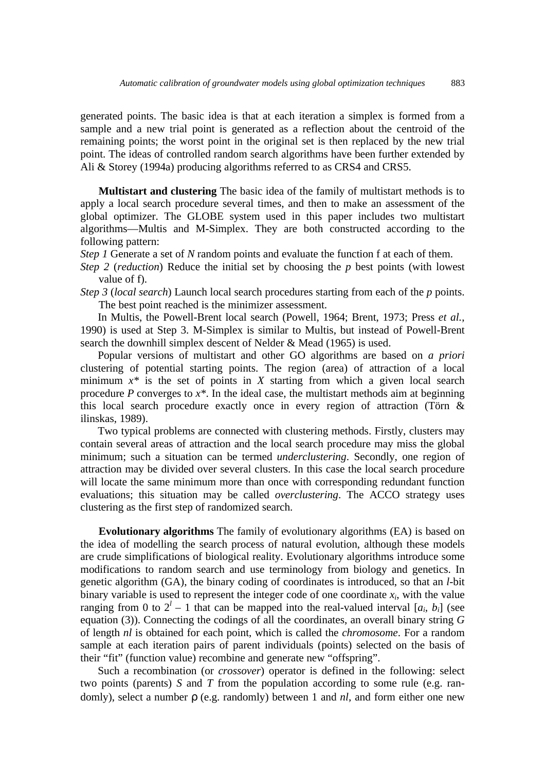generated points. The basic idea is that at each iteration a simplex is formed from a sample and a new trial point is generated as a reflection about the centroid of the remaining points; the worst point in the original set is then replaced by the new trial point. The ideas of controlled random search algorithms have been further extended by Ali & Storey (1994a) producing algorithms referred to as CRS4 and CRS5.

**Multistart and clustering** The basic idea of the family of multistart methods is to apply a local search procedure several times, and then to make an assessment of the global optimizer. The GLOBE system used in this paper includes two multistart algorithms—Multis and M-Simplex. They are both constructed according to the following pattern:

*Step 1* Generate a set of *N* random points and evaluate the function f at each of them.

*Step 2* (*reduction*) Reduce the initial set by choosing the *p* best points (with lowest value of f).

*Step 3* (*local search*) Launch local search procedures starting from each of the *p* points. The best point reached is the minimizer assessment.

In Multis, the Powell-Brent local search (Powell, 1964; Brent, 1973; Press *et al.*, 1990) is used at Step 3. M-Simplex is similar to Multis, but instead of Powell-Brent search the downhill simplex descent of Nelder & Mead (1965) is used.

Popular versions of multistart and other GO algorithms are based on *a priori* clustering of potential starting points. The region (area) of attraction of a local minimum  $x^*$  is the set of points in *X* starting from which a given local search procedure *P* converges to  $x^*$ . In the ideal case, the multistart methods aim at beginning this local search procedure exactly once in every region of attraction (Törn & ilinskas, 1989).

Two typical problems are connected with clustering methods. Firstly, clusters may contain several areas of attraction and the local search procedure may miss the global minimum; such a situation can be termed *underclustering*. Secondly, one region of attraction may be divided over several clusters. In this case the local search procedure will locate the same minimum more than once with corresponding redundant function evaluations; this situation may be called *overclustering*. The ACCO strategy uses clustering as the first step of randomized search.

**Evolutionary algorithms** The family of evolutionary algorithms (EA) is based on the idea of modelling the search process of natural evolution, although these models are crude simplifications of biological reality. Evolutionary algorithms introduce some modifications to random search and use terminology from biology and genetics. In genetic algorithm (GA), the binary coding of coordinates is introduced, so that an *l*-bit binary variable is used to represent the integer code of one coordinate  $x_i$ , with the value ranging from 0 to  $2^l - 1$  that can be mapped into the real-valued interval [ $a_i$ ,  $b_i$ ] (see equation (3)). Connecting the codings of all the coordinates, an overall binary string *G* of length *nl* is obtained for each point, which is called the *chromosome*. For a random sample at each iteration pairs of parent individuals (points) selected on the basis of their "fit" (function value) recombine and generate new "offspring".

Such a recombination (or *crossover*) operator is defined in the following: select two points (parents) *S* and *T* from the population according to some rule (e.g. randomly), select a number ρ (e.g. randomly) between 1 and *nl*, and form either one new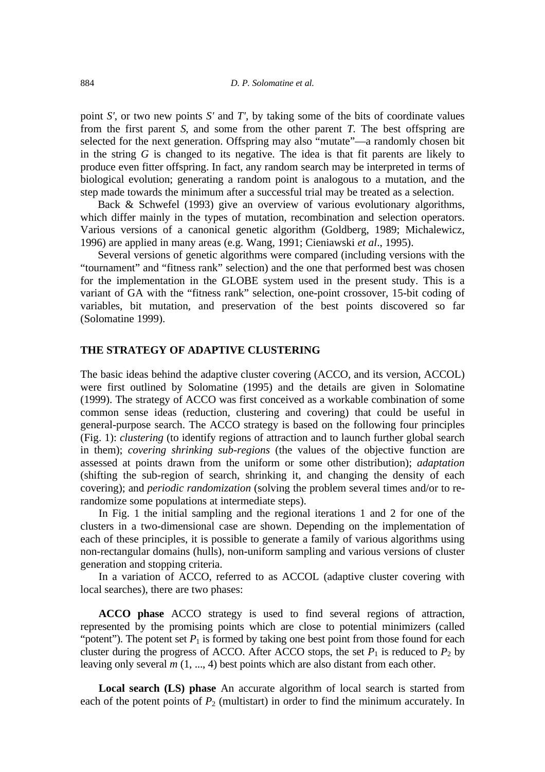point *S'*, or two new points *S'* and *T'*, by taking some of the bits of coordinate values from the first parent *S*, and some from the other parent *T.* The best offspring are selected for the next generation. Offspring may also "mutate"—a randomly chosen bit in the string *G* is changed to its negative. The idea is that fit parents are likely to produce even fitter offspring. In fact, any random search may be interpreted in terms of biological evolution; generating a random point is analogous to a mutation, and the step made towards the minimum after a successful trial may be treated as a selection.

Back & Schwefel (1993) give an overview of various evolutionary algorithms, which differ mainly in the types of mutation, recombination and selection operators. Various versions of a canonical genetic algorithm (Goldberg, 1989; Michalewicz, 1996) are applied in many areas (e.g. Wang, 1991; Cieniawski *et al*., 1995).

Several versions of genetic algorithms were compared (including versions with the "tournament" and "fitness rank" selection) and the one that performed best was chosen for the implementation in the GLOBE system used in the present study. This is a variant of GA with the "fitness rank" selection, one-point crossover, 15-bit coding of variables, bit mutation, and preservation of the best points discovered so far (Solomatine 1999).

### **THE STRATEGY OF ADAPTIVE CLUSTERING**

The basic ideas behind the adaptive cluster covering (ACCO, and its version, ACCOL) were first outlined by Solomatine (1995) and the details are given in Solomatine (1999). The strategy of ACCO was first conceived as a workable combination of some common sense ideas (reduction, clustering and covering) that could be useful in general-purpose search. The ACCO strategy is based on the following four principles (Fig. 1): *clustering* (to identify regions of attraction and to launch further global search in them); *covering shrinking sub-regions* (the values of the objective function are assessed at points drawn from the uniform or some other distribution); *adaptation* (shifting the sub-region of search, shrinking it, and changing the density of each covering); and *periodic randomization* (solving the problem several times and/or to rerandomize some populations at intermediate steps).

In Fig. 1 the initial sampling and the regional iterations 1 and 2 for one of the clusters in a two-dimensional case are shown. Depending on the implementation of each of these principles, it is possible to generate a family of various algorithms using non-rectangular domains (hulls), non-uniform sampling and various versions of cluster generation and stopping criteria.

In a variation of ACCO, referred to as ACCOL (adaptive cluster covering with local searches), there are two phases:

**ACCO phase** ACCO strategy is used to find several regions of attraction, represented by the promising points which are close to potential minimizers (called "potent"). The potent set  $P_1$  is formed by taking one best point from those found for each cluster during the progress of ACCO. After ACCO stops, the set  $P_1$  is reduced to  $P_2$  by leaving only several *m* (1, ..., 4) best points which are also distant from each other.

**Local search (LS) phase** An accurate algorithm of local search is started from each of the potent points of  $P_2$  (multistart) in order to find the minimum accurately. In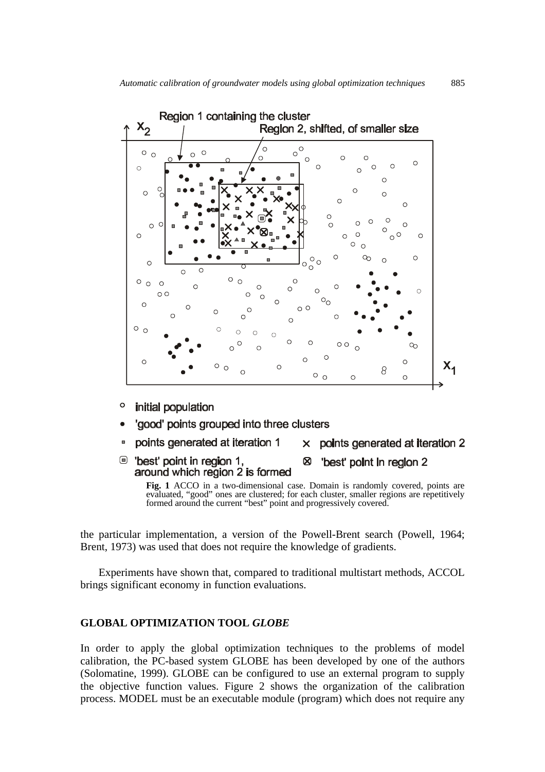

- C initial population
- 'good' points grouped into three clusters
- points generated at iteration 1  $\blacksquare$  $\mathsf{x}$
- $\circledcirc$ 'best' point in region 1, ⊠ 'best' point in region 2 around which region 2 is formed

**Fig. 1** ACCO in a two-dimensional case. Domain is randomly covered, points are evaluated, "good" ones are clustered; for each cluster, smaller regions are repetitively formed around the current "best" point and progressively covered.

points generated at iteration 2

the particular implementation, a version of the Powell-Brent search (Powell, 1964; Brent, 1973) was used that does not require the knowledge of gradients.

Experiments have shown that, compared to traditional multistart methods, ACCOL brings significant economy in function evaluations.

### **GLOBAL OPTIMIZATION TOOL** *GLOBE*

In order to apply the global optimization techniques to the problems of model calibration, the PC-based system GLOBE has been developed by one of the authors (Solomatine, 1999). GLOBE can be configured to use an external program to supply the objective function values. Figure 2 shows the organization of the calibration process. MODEL must be an executable module (program) which does not require any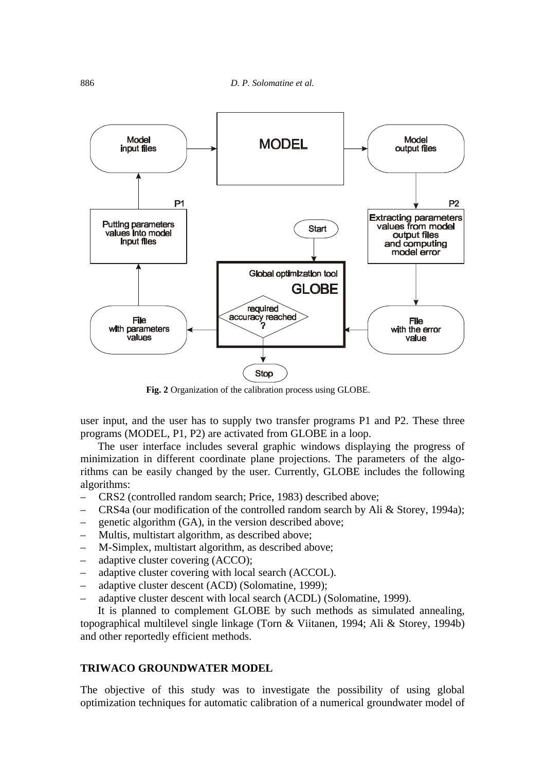

**Fig. 2** Organization of the calibration process using GLOBE.

user input, and the user has to supply two transfer programs P1 and P2. These three programs (MODEL, P1, P2) are activated from GLOBE in a loop.

The user interface includes several graphic windows displaying the progress of minimization in different coordinate plane projections. The parameters of the algorithms can be easily changed by the user. Currently, GLOBE includes the following algorithms:

- CRS2 (controlled random search; Price, 1983) described above;
- CRS4a (our modification of the controlled random search by Ali & Storey, 1994a);
- genetic algorithm (GA), in the version described above;
- Multis, multistart algorithm, as described above;
- M-Simplex, multistart algorithm, as described above;
- adaptive cluster covering (ACCO);
- adaptive cluster covering with local search (ACCOL).
- adaptive cluster descent (ACD) (Solomatine, 1999);
- adaptive cluster descent with local search (ACDL) (Solomatine, 1999).

It is planned to complement GLOBE by such methods as simulated annealing, topographical multilevel single linkage (Torn & Viitanen, 1994; Ali & Storey, 1994b) and other reportedly efficient methods.

# **TRIWACO GROUNDWATER MODEL**

The objective of this study was to investigate the possibility of using global optimization techniques for automatic calibration of a numerical groundwater model of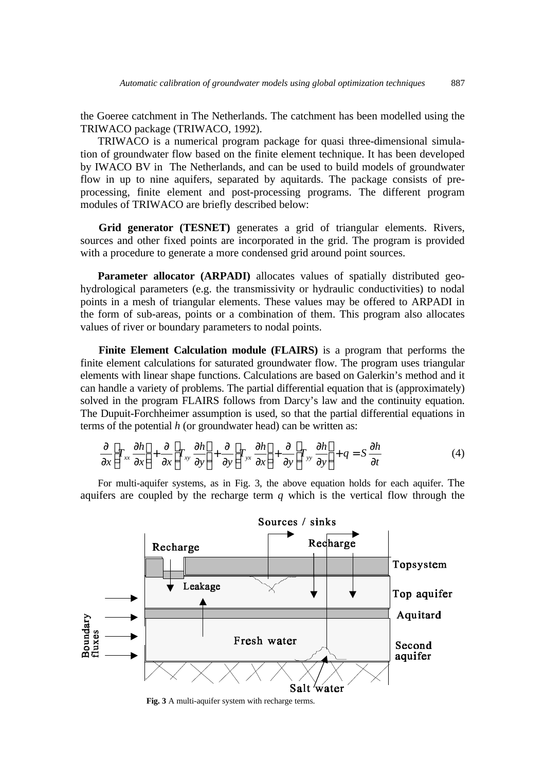the Goeree catchment in The Netherlands. The catchment has been modelled using the TRIWACO package (TRIWACO, 1992).

TRIWACO is a numerical program package for quasi three-dimensional simulation of groundwater flow based on the finite element technique. It has been developed by IWACO BV in The Netherlands, and can be used to build models of groundwater flow in up to nine aquifers, separated by aquitards. The package consists of preprocessing, finite element and post-processing programs. The different program modules of TRIWACO are briefly described below:

**Grid generator (TESNET)** generates a grid of triangular elements. Rivers, sources and other fixed points are incorporated in the grid. The program is provided with a procedure to generate a more condensed grid around point sources.

**Parameter allocator (ARPADI)** allocates values of spatially distributed geohydrological parameters (e.g. the transmissivity or hydraulic conductivities) to nodal points in a mesh of triangular elements. These values may be offered to ARPADI in the form of sub-areas, points or a combination of them. This program also allocates values of river or boundary parameters to nodal points.

**Finite Element Calculation module (FLAIRS)** is a program that performs the finite element calculations for saturated groundwater flow. The program uses triangular elements with linear shape functions. Calculations are based on Galerkin's method and it can handle a variety of problems. The partial differential equation that is (approximately) solved in the program FLAIRS follows from Darcy's law and the continuity equation. The Dupuit-Forchheimer assumption is used, so that the partial differential equations in terms of the potential *h* (or groundwater head) can be written as:

$$
\frac{\partial}{\partial x}\left[T_{xx}\frac{\partial h}{\partial x}\right] + \frac{\partial}{\partial x}\left[T_{xy}\frac{\partial h}{\partial y}\right] + \frac{\partial}{\partial y}\left[T_{yx}\frac{\partial h}{\partial x}\right] + \frac{\partial}{\partial y}\left[T_{yy}\frac{\partial h}{\partial y}\right] + q = S\frac{\partial h}{\partial t}
$$
(4)

For multi-aquifer systems, as in Fig. 3, the above equation holds for each aquifer. The aquifers are coupled by the recharge term *q* which is the vertical flow through the



**Fig. 3** A multi-aquifer system with recharge terms.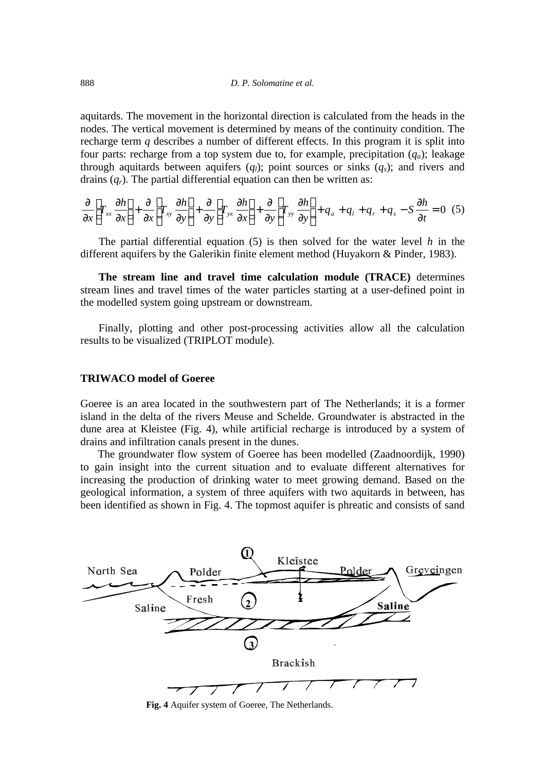aquitards. The movement in the horizontal direction is calculated from the heads in the nodes. The vertical movement is determined by means of the continuity condition. The recharge term *q* describes a number of different effects. In this program it is split into four parts: recharge from a top system due to, for example, precipitation  $(q_a)$ ; leakage through aquitards between aquifers  $(q_l)$ ; point sources or sinks  $(q_s)$ ; and rivers and drains  $(q_r)$ . The partial differential equation can then be written as:

$$
\frac{\partial}{\partial x}\left[T_{xx}\frac{\partial h}{\partial x}\right] + \frac{\partial}{\partial x}\left[T_{xy}\frac{\partial h}{\partial y}\right] + \frac{\partial}{\partial y}\left[T_{yx}\frac{\partial h}{\partial x}\right] + \frac{\partial}{\partial y}\left[T_{yy}\frac{\partial h}{\partial y}\right] + q_a + q_t + q_s - S\frac{\partial h}{\partial t} = 0 \quad (5)
$$

The partial differential equation (5) is then solved for the water level *h* in the different aquifers by the Galerikin finite element method (Huyakorn & Pinder, 1983).

**The stream line and travel time calculation module (TRACE)** determines stream lines and travel times of the water particles starting at a user-defined point in the modelled system going upstream or downstream.

Finally, plotting and other post-processing activities allow all the calculation results to be visualized (TRIPLOT module).

### **TRIWACO model of Goeree**

Goeree is an area located in the southwestern part of The Netherlands; it is a former island in the delta of the rivers Meuse and Schelde. Groundwater is abstracted in the dune area at Kleistee (Fig. 4), while artificial recharge is introduced by a system of drains and infiltration canals present in the dunes.

The groundwater flow system of Goeree has been modelled (Zaadnoordijk, 1990) to gain insight into the current situation and to evaluate different alternatives for increasing the production of drinking water to meet growing demand. Based on the geological information, a system of three aquifers with two aquitards in between, has been identified as shown in Fig. 4. The topmost aquifer is phreatic and consists of sand



**Fig. 4** Aquifer system of Goeree, The Netherlands.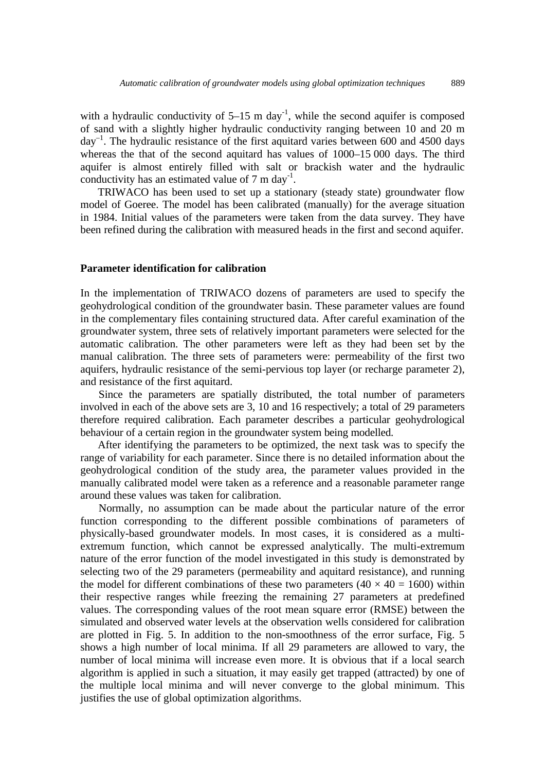with a hydraulic conductivity of  $5-15$  m day<sup>-1</sup>, while the second aquifer is composed of sand with a slightly higher hydraulic conductivity ranging between 10 and 20 m  $\text{d}$ ay<sup>-1</sup>. The hydraulic resistance of the first aquitard varies between 600 and 4500 days whereas the that of the second aquitard has values of 1000–15 000 days. The third aquifer is almost entirely filled with salt or brackish water and the hydraulic conductivity has an estimated value of  $7 \text{ m day}^{-1}$ .

TRIWACO has been used to set up a stationary (steady state) groundwater flow model of Goeree. The model has been calibrated (manually) for the average situation in 1984. Initial values of the parameters were taken from the data survey. They have been refined during the calibration with measured heads in the first and second aquifer.

### **Parameter identification for calibration**

In the implementation of TRIWACO dozens of parameters are used to specify the geohydrological condition of the groundwater basin. These parameter values are found in the complementary files containing structured data. After careful examination of the groundwater system, three sets of relatively important parameters were selected for the automatic calibration. The other parameters were left as they had been set by the manual calibration. The three sets of parameters were: permeability of the first two aquifers, hydraulic resistance of the semi-pervious top layer (or recharge parameter 2), and resistance of the first aquitard.

Since the parameters are spatially distributed, the total number of parameters involved in each of the above sets are 3, 10 and 16 respectively; a total of 29 parameters therefore required calibration. Each parameter describes a particular geohydrological behaviour of a certain region in the groundwater system being modelled.

After identifying the parameters to be optimized, the next task was to specify the range of variability for each parameter. Since there is no detailed information about the geohydrological condition of the study area, the parameter values provided in the manually calibrated model were taken as a reference and a reasonable parameter range around these values was taken for calibration.

Normally, no assumption can be made about the particular nature of the error function corresponding to the different possible combinations of parameters of physically-based groundwater models. In most cases, it is considered as a multiextremum function, which cannot be expressed analytically. The multi-extremum nature of the error function of the model investigated in this study is demonstrated by selecting two of the 29 parameters (permeability and aquitard resistance), and running the model for different combinations of these two parameters  $(40 \times 40 = 1600)$  within their respective ranges while freezing the remaining 27 parameters at predefined values. The corresponding values of the root mean square error (RMSE) between the simulated and observed water levels at the observation wells considered for calibration are plotted in Fig. 5. In addition to the non-smoothness of the error surface, Fig. 5 shows a high number of local minima. If all 29 parameters are allowed to vary, the number of local minima will increase even more. It is obvious that if a local search algorithm is applied in such a situation, it may easily get trapped (attracted) by one of the multiple local minima and will never converge to the global minimum. This justifies the use of global optimization algorithms.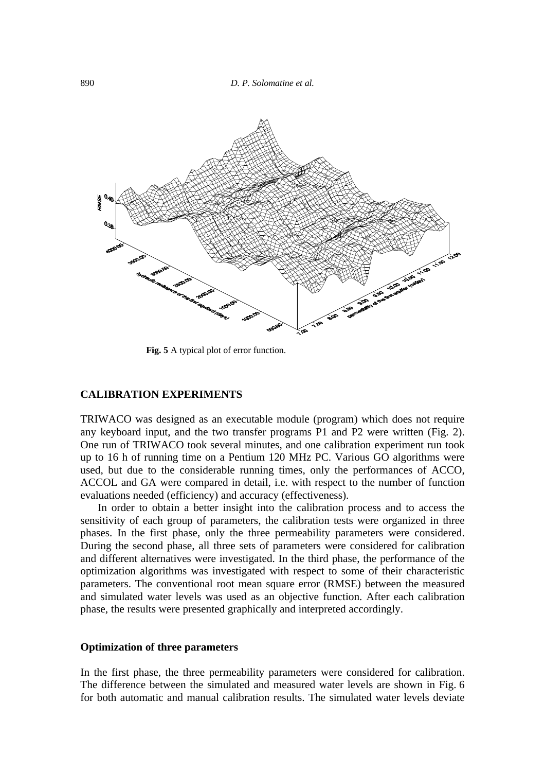890 *D. P. Solomatine et al.*



**Fig. 5** A typical plot of error function.

### **CALIBRATION EXPERIMENTS**

TRIWACO was designed as an executable module (program) which does not require any keyboard input, and the two transfer programs P1 and P2 were written (Fig. 2). One run of TRIWACO took several minutes, and one calibration experiment run took up to 16 h of running time on a Pentium 120 MHz PC. Various GO algorithms were used, but due to the considerable running times, only the performances of ACCO, ACCOL and GA were compared in detail, i.e. with respect to the number of function evaluations needed (efficiency) and accuracy (effectiveness).

In order to obtain a better insight into the calibration process and to access the sensitivity of each group of parameters, the calibration tests were organized in three phases. In the first phase, only the three permeability parameters were considered. During the second phase, all three sets of parameters were considered for calibration and different alternatives were investigated. In the third phase, the performance of the optimization algorithms was investigated with respect to some of their characteristic parameters. The conventional root mean square error (RMSE) between the measured and simulated water levels was used as an objective function. After each calibration phase, the results were presented graphically and interpreted accordingly.

### **Optimization of three parameters**

In the first phase, the three permeability parameters were considered for calibration. The difference between the simulated and measured water levels are shown in Fig. 6 for both automatic and manual calibration results. The simulated water levels deviate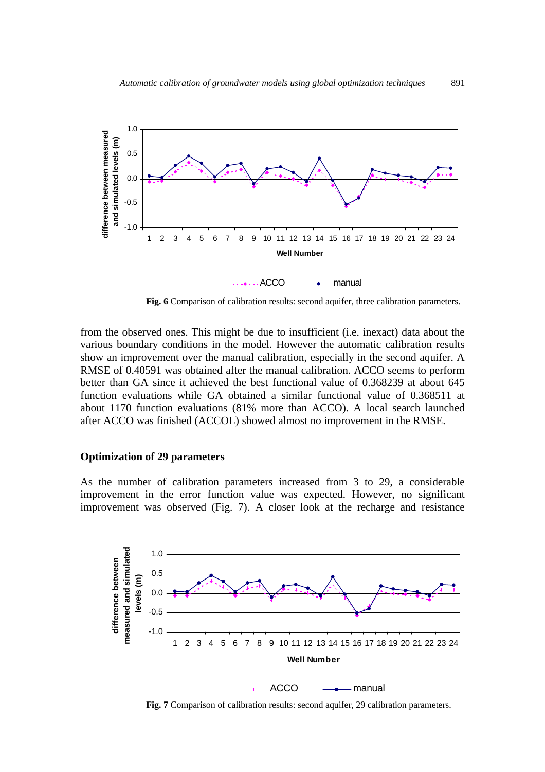

**Fig. 6** Comparison of calibration results: second aquifer, three calibration parameters.

from the observed ones. This might be due to insufficient (i.e. inexact) data about the various boundary conditions in the model. However the automatic calibration results show an improvement over the manual calibration, especially in the second aquifer. A RMSE of 0.40591 was obtained after the manual calibration. ACCO seems to perform better than GA since it achieved the best functional value of 0.368239 at about 645 function evaluations while GA obtained a similar functional value of 0.368511 at about 1170 function evaluations (81% more than ACCO). A local search launched after ACCO was finished (ACCOL) showed almost no improvement in the RMSE.

### **Optimization of 29 parameters**

As the number of calibration parameters increased from 3 to 29, a considerable improvement in the error function value was expected. However, no significant improvement was observed (Fig. 7). A closer look at the recharge and resistance



**Fig. 7** Comparison of calibration results: second aquifer, 29 calibration parameters.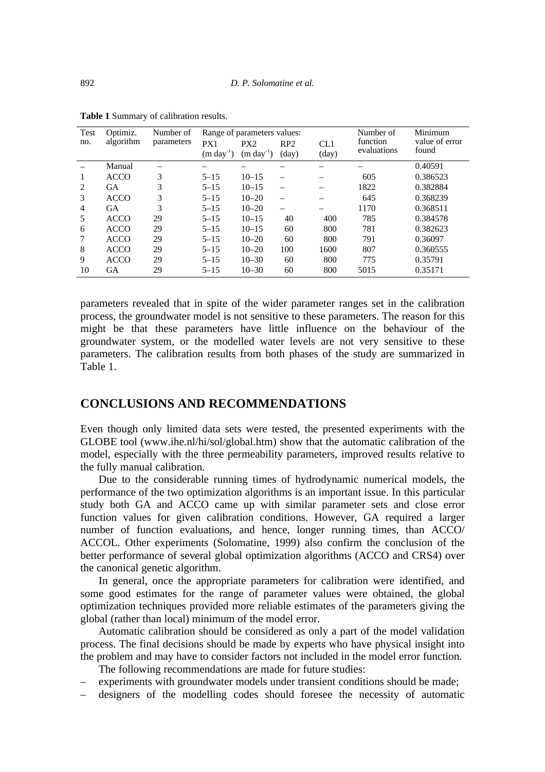| Test | Optimiz.<br>algorithm | Number of<br>parameters | Range of parameters values: |                                |                       |              | Number of               | Minimum                 |
|------|-----------------------|-------------------------|-----------------------------|--------------------------------|-----------------------|--------------|-------------------------|-------------------------|
| no.  |                       |                         | PX1<br>$(m \, day^{-1})$    | PX <sub>2</sub><br>$(m day-1)$ | RP2<br>$\text{(day)}$ | CL1<br>(day) | function<br>evaluations | value of error<br>found |
|      | Manual                |                         |                             |                                |                       |              |                         | 0.40591                 |
|      | <b>ACCO</b>           | 3                       | $5 - 15$                    | $10 - 15$                      |                       |              | 605                     | 0.386523                |
| 2    | <b>GA</b>             | 3                       | $5 - 15$                    | $10 - 15$                      |                       |              | 1822                    | 0.382884                |
| 3    | <b>ACCO</b>           | 3                       | $5 - 15$                    | $10 - 20$                      |                       |              | 645                     | 0.368239                |
| 4    | <b>GA</b>             | 3                       | $5 - 15$                    | $10 - 20$                      |                       |              | 1170                    | 0.368511                |
| 5    | <b>ACCO</b>           | 29                      | $5 - 15$                    | $10 - 15$                      | 40                    | 400          | 785                     | 0.384578                |
| 6    | <b>ACCO</b>           | 29                      | $5 - 15$                    | $10 - 15$                      | 60                    | 800          | 781                     | 0.382623                |
|      | <b>ACCO</b>           | 29                      | $5 - 15$                    | $10 - 20$                      | 60                    | 800          | 791                     | 0.36097                 |
| 8    | <b>ACCO</b>           | 29                      | $5 - 15$                    | $10 - 20$                      | 100                   | 1600         | 807                     | 0.360555                |
| 9    | <b>ACCO</b>           | 29                      | $5 - 15$                    | $10 - 30$                      | 60                    | 800          | 775                     | 0.35791                 |
| 10   | <b>GA</b>             | 29                      | $5 - 15$                    | $10 - 30$                      | 60                    | 800          | 5015                    | 0.35171                 |

**Table 1** Summary of calibration results.

parameters revealed that in spite of the wider parameter ranges set in the calibration process, the groundwater model is not sensitive to these parameters. The reason for this might be that these parameters have little influence on the behaviour of the groundwater system, or the modelled water levels are not very sensitive to these parameters. The calibration results from both phases of the study are summarized in Table 1.

### **CONCLUSIONS AND RECOMMENDATIONS**

Even though only limited data sets were tested, the presented experiments with the GLOBE tool (www.ihe.nl/hi/sol/global.htm) show that the automatic calibration of the model, especially with the three permeability parameters, improved results relative to the fully manual calibration.

Due to the considerable running times of hydrodynamic numerical models, the performance of the two optimization algorithms is an important issue. In this particular study both GA and ACCO came up with similar parameter sets and close error function values for given calibration conditions. However, GA required a larger number of function evaluations, and hence, longer running times, than ACCO/ ACCOL. Other experiments (Solomatine, 1999) also confirm the conclusion of the better performance of several global optimization algorithms (ACCO and CRS4) over the canonical genetic algorithm.

In general, once the appropriate parameters for calibration were identified, and some good estimates for the range of parameter values were obtained, the global optimization techniques provided more reliable estimates of the parameters giving the global (rather than local) minimum of the model error.

Automatic calibration should be considered as only a part of the model validation process. The final decisions should be made by experts who have physical insight into the problem and may have to consider factors not included in the model error function.

The following recommendations are made for future studies:

- experiments with groundwater models under transient conditions should be made;
- designers of the modelling codes should foresee the necessity of automatic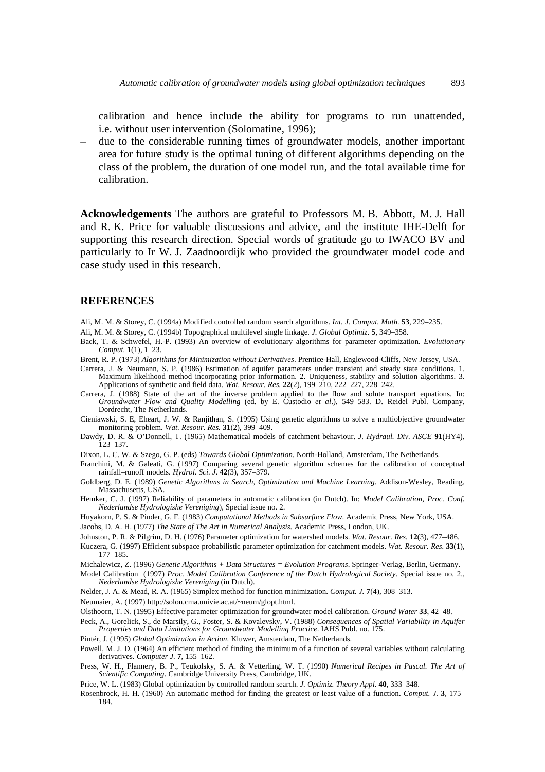calibration and hence include the ability for programs to run unattended, i.e. without user intervention (Solomatine, 1996);

– due to the considerable running times of groundwater models, another important area for future study is the optimal tuning of different algorithms depending on the class of the problem, the duration of one model run, and the total available time for calibration.

**Acknowledgements** The authors are grateful to Professors M. B. Abbott, M. J. Hall and R. K. Price for valuable discussions and advice, and the institute IHE-Delft for supporting this research direction. Special words of gratitude go to IWACO BV and particularly to Ir W. J. Zaadnoordijk who provided the groundwater model code and case study used in this research.

#### **REFERENCES**

- Ali, M. M. & Storey, C. (1994a) Modified controlled random search algorithms. *Int. J. Comput. Math.* **53**, 229–235.
- Ali, M. M. & Storey, C. (1994b) Topographical multilevel single linkage*. J. Global Optimiz.* **5**, 349–358.
- Back, T. & Schwefel, H.-P. (1993) An overview of evolutionary algorithms for parameter optimization. *Evolutionary Comput.* **1**(1), 1–23.
- Brent, R. P. (1973) *Algorithms for Minimization without Derivatives*. Prentice-Hall, Englewood-Cliffs, New Jersey, USA.
- Carrera, J. & Neumann, S. P. (1986) Estimation of aquifer parameters under transient and steady state conditions. 1. Maximum likelihood method incorporating prior information. 2. Uniqueness, stability and solution algorithms. 3. Applications of synthetic and field data. *Wat. Resour. Res.* **22**(2), 199–210, 222–227, 228–242.
- Carrera, J. (1988) State of the art of the inverse problem applied to the flow and solute transport equations. In: *Groundwater Flow and Quality Modelling* (ed. by E. Custodio *et al*.), 549–583. D. Reidel Publ. Company, Dordrecht, The Netherlands.
- Cieniawski, S. E, Eheart, J. W. & Ranjithan, S. (1995) Using genetic algorithms to solve a multiobjective groundwater monitoring problem. *Wat. Resour. Res.* **31**(2), 399–409.
- Dawdy, D. R. & O'Donnell, T. (1965) Mathematical models of catchment behaviour. *J. Hydraul. Div. ASCE* **91**(HY4), 123–137.
- Dixon, L. C. W. & Szego, G. P. (eds) *Towards Global Optimization.* North-Holland, Amsterdam, The Netherlands.
- Franchini, M. & Galeati, G. (1997) Comparing several genetic algorithm schemes for the calibration of conceptual rainfall–runoff models. *Hydrol. Sci. J.* **42**(3), 357–379.
- Goldberg, D. E. (1989) *Genetic Algorithms in Search, Optimization and Machine Learning*. Addison-Wesley, Reading, Massachusetts, USA.
- Hemker, C. J. (1997) Reliability of parameters in automatic calibration (in Dutch). In: *Model Calibration, Proc. Conf. Nederlandse Hydrologishe Vereniging*), Special issue no. 2.
- Huyakorn, P. S. & Pinder, G. F. (1983) *Computational Methods in Subsurface Flow*. Academic Press, New York, USA. Jacobs, D. A. H. (1977) *The State of The Art in Numerical Analysis.* Academic Press, London, UK.
- Johnston, P. R. & Pilgrim, D. H. (1976) Parameter optimization for watershed models. *Wat. Resour. Res.* **12**(3), 477–486.
- Kuczera, G. (1997) Efficient subspace probabilistic parameter optimization for catchment models. *Wat. Resour. Res.* **33**(1), 177–185.

Michalewicz, Z. (1996) *Genetic Algorithms + Data Structures = Evolution Programs*. Springer-Verlag, Berlin, Germany.

- Model Calibration (1997) *Proc. Model Calibration Conference of the Dutch Hydrological Society*. Special issue no. 2., *Nederlandse Hydrologishe Vereniging* (in Dutch).
- Nelder, J. A. & Mead, R. A. (1965) Simplex method for function minimization. *Comput. J.* **7**(4), 308–313.
- Neumaier, A. (1997) http://solon.cma.univie.ac.at/~neum/glopt.html.
- Olsthoorn, T. N. (1995) Effective parameter optimization for groundwater model calibration. *Ground Water* **33**, 42–48.
- Peck, A., Gorelick, S., de Marsily, G., Foster, S. & Kovalevsky, V. (1988) *Consequences of Spatial Variability in Aquifer Properties and Data Limitations for Groundwater Modelling Practice*. IAHS Publ. no. 175.
- Pintér, J. (1995) *Global Optimization in Action*. Kluwer, Amsterdam, The Netherlands.
- Powell, M. J. D. (1964) An efficient method of finding the minimum of a function of several variables without calculating derivatives. *Computer J.* **7**, 155–162.
- Press, W. H., Flannery, B. P., Teukolsky, S. A. & Vetterling, W. T. (1990) *Numerical Recipes in Pascal. The Art of Scientific Computing*. Cambridge University Press, Cambridge, UK.
- Price, W. L. (1983) Global optimization by controlled random search. *J. Optimiz. Theory Appl.* **40**, 333–348.
- Rosenbrock, H. H. (1960) An automatic method for finding the greatest or least value of a function. *Comput. J.* **3**, 175– 184.